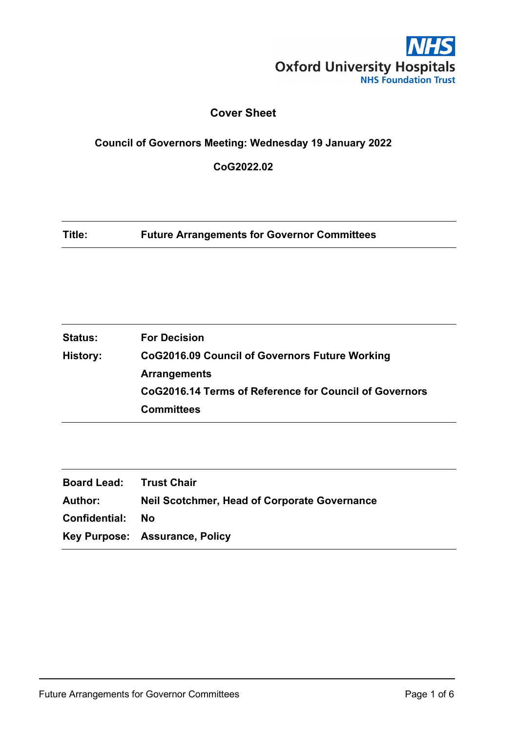

# **Cover Sheet**

# **Council of Governors Meeting: Wednesday 19 January 2022**

**CoG2022.02**

**Title: Future Arrangements for Governor Committees**

| <b>Status:</b> | <b>For Decision</b>                                    |
|----------------|--------------------------------------------------------|
| History:       | CoG2016.09 Council of Governors Future Working         |
|                | <b>Arrangements</b>                                    |
|                | CoG2016.14 Terms of Reference for Council of Governors |
|                | <b>Committees</b>                                      |

| <b>Board Lead: Trust Chair</b> |                                                     |
|--------------------------------|-----------------------------------------------------|
| Author:                        | <b>Neil Scotchmer, Head of Corporate Governance</b> |
| Confidential:                  | No.                                                 |
|                                | Key Purpose: Assurance, Policy                      |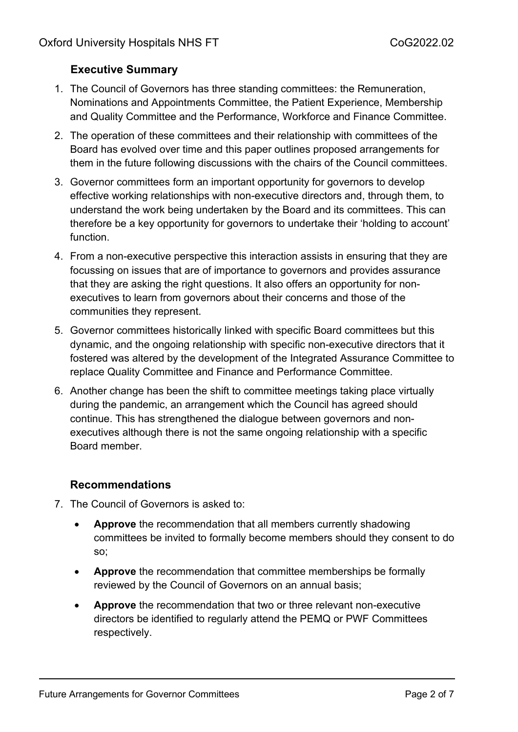# **Executive Summary**

- 1. The Council of Governors has three standing committees: the Remuneration, Nominations and Appointments Committee, the Patient Experience, Membership and Quality Committee and the Performance, Workforce and Finance Committee.
- 2. The operation of these committees and their relationship with committees of the Board has evolved over time and this paper outlines proposed arrangements for them in the future following discussions with the chairs of the Council committees.
- 3. Governor committees form an important opportunity for governors to develop effective working relationships with non-executive directors and, through them, to understand the work being undertaken by the Board and its committees. This can therefore be a key opportunity for governors to undertake their 'holding to account' function.
- 4. From a non-executive perspective this interaction assists in ensuring that they are focussing on issues that are of importance to governors and provides assurance that they are asking the right questions. It also offers an opportunity for nonexecutives to learn from governors about their concerns and those of the communities they represent.
- 5. Governor committees historically linked with specific Board committees but this dynamic, and the ongoing relationship with specific non-executive directors that it fostered was altered by the development of the Integrated Assurance Committee to replace Quality Committee and Finance and Performance Committee.
- 6. Another change has been the shift to committee meetings taking place virtually during the pandemic, an arrangement which the Council has agreed should continue. This has strengthened the dialogue between governors and nonexecutives although there is not the same ongoing relationship with a specific Board member.

# **Recommendations**

- 7. The Council of Governors is asked to:
	- **Approve** the recommendation that all members currently shadowing committees be invited to formally become members should they consent to do so;
	- **Approve** the recommendation that committee memberships be formally reviewed by the Council of Governors on an annual basis;
	- **Approve** the recommendation that two or three relevant non-executive directors be identified to regularly attend the PEMQ or PWF Committees respectively.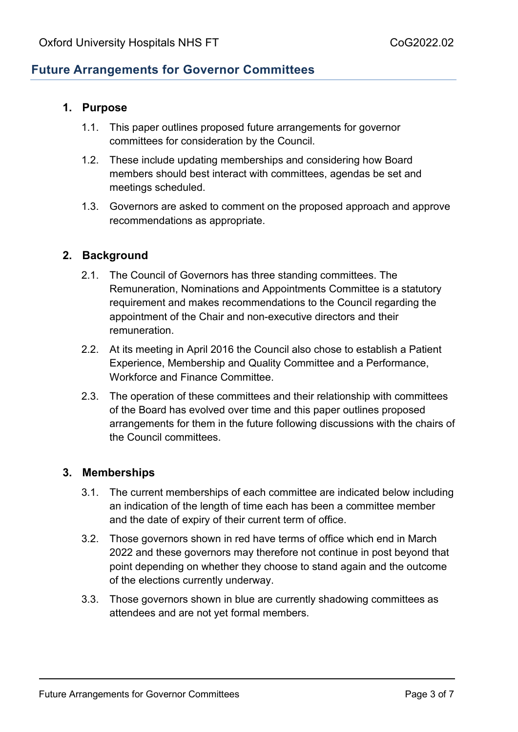# **Future Arrangements for Governor Committees**

## **1. Purpose**

- 1.1. This paper outlines proposed future arrangements for governor committees for consideration by the Council.
- 1.2. These include updating memberships and considering how Board members should best interact with committees, agendas be set and meetings scheduled.
- 1.3. Governors are asked to comment on the proposed approach and approve recommendations as appropriate.

## **2. Background**

- 2.1. The Council of Governors has three standing committees. The Remuneration, Nominations and Appointments Committee is a statutory requirement and makes recommendations to the Council regarding the appointment of the Chair and non-executive directors and their remuneration.
- 2.2. At its meeting in April 2016 the Council also chose to establish a Patient Experience, Membership and Quality Committee and a Performance, Workforce and Finance Committee.
- 2.3. The operation of these committees and their relationship with committees of the Board has evolved over time and this paper outlines proposed arrangements for them in the future following discussions with the chairs of the Council committees.

## **3. Memberships**

- 3.1. The current memberships of each committee are indicated below including an indication of the length of time each has been a committee member and the date of expiry of their current term of office.
- 3.2. Those governors shown in red have terms of office which end in March 2022 and these governors may therefore not continue in post beyond that point depending on whether they choose to stand again and the outcome of the elections currently underway.
- 3.3. Those governors shown in blue are currently shadowing committees as attendees and are not yet formal members.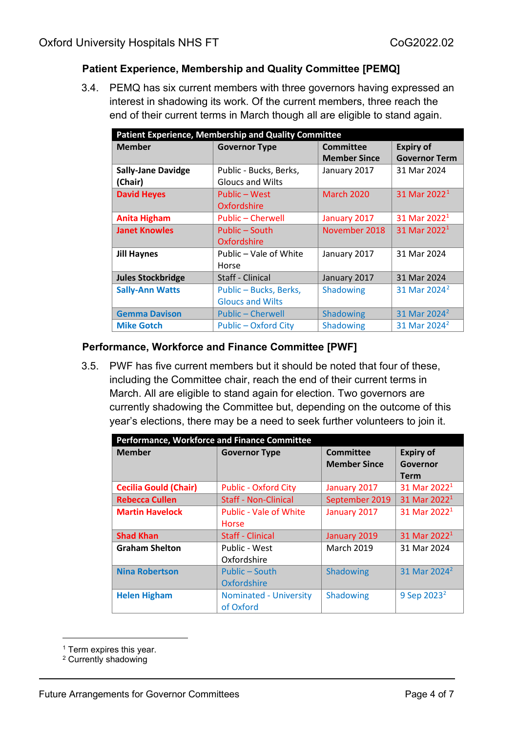### **Patient Experience, Membership and Quality Committee [PEMQ]**

3.4. PEMQ has six current members with three governors having expressed an interest in shadowing its work. Of the current members, three reach the end of their current terms in March though all are eligible to stand again.

<span id="page-3-0"></span>

| <b>Patient Experience, Membership and Quality Committee</b> |                          |                     |                          |  |  |
|-------------------------------------------------------------|--------------------------|---------------------|--------------------------|--|--|
| <b>Member</b>                                               | <b>Governor Type</b>     | <b>Committee</b>    | <b>Expiry of</b>         |  |  |
|                                                             |                          | <b>Member Since</b> | <b>Governor Term</b>     |  |  |
| <b>Sally-Jane Davidge</b>                                   | Public - Bucks, Berks,   | January 2017        | 31 Mar 2024              |  |  |
| (Chair)                                                     | <b>Gloucs and Wilts</b>  |                     |                          |  |  |
| <b>David Heyes</b>                                          | Public – West            | <b>March 2020</b>   | 31 Mar 2022 <sup>1</sup> |  |  |
|                                                             | <b>Oxfordshire</b>       |                     |                          |  |  |
| <b>Anita Higham</b>                                         | <b>Public - Cherwell</b> | January 2017        | 31 Mar 2022 <sup>1</sup> |  |  |
| <b>Janet Knowles</b>                                        | Public – South           | November 2018       | 31 Mar 2022 <sup>1</sup> |  |  |
|                                                             | Oxfordshire              |                     |                          |  |  |
| <b>Jill Haynes</b>                                          | Public - Vale of White   | January 2017        | 31 Mar 2024              |  |  |
|                                                             | Horse                    |                     |                          |  |  |
| <b>Jules Stockbridge</b>                                    | Staff - Clinical         | January 2017        | 31 Mar 2024              |  |  |
| <b>Sally-Ann Watts</b>                                      | Public - Bucks, Berks,   | Shadowing           | 31 Mar 2024 <sup>2</sup> |  |  |
|                                                             | <b>Gloucs and Wilts</b>  |                     |                          |  |  |
| <b>Gemma Davison</b>                                        | <b>Public - Cherwell</b> | Shadowing           | 31 Mar 2024 <sup>2</sup> |  |  |
| <b>Mike Gotch</b>                                           | Public - Oxford City     | Shadowing           | 31 Mar 2024 <sup>2</sup> |  |  |

#### **Performance, Workforce and Finance Committee [PWF]**

3.5. PWF has five current members but it should be noted that four of these, including the Committee chair, reach the end of their current terms in March. All are eligible to stand again for election. Two governors are currently shadowing the Committee but, depending on the outcome of this year's elections, there may be a need to seek further volunteers to join it.

<span id="page-3-1"></span>

| <b>Performance, Workforce and Finance Committee</b> |                                               |                                         |                                             |  |  |
|-----------------------------------------------------|-----------------------------------------------|-----------------------------------------|---------------------------------------------|--|--|
| <b>Member</b>                                       | <b>Governor Type</b>                          | <b>Committee</b><br><b>Member Since</b> | <b>Expiry of</b><br>Governor<br><b>Term</b> |  |  |
| <b>Cecilia Gould (Chair)</b>                        | <b>Public - Oxford City</b>                   | January 2017                            | 31 Mar 2022 <sup>1</sup>                    |  |  |
| <b>Rebecca Cullen</b>                               | <b>Staff - Non-Clinical</b>                   | September 2019                          | 31 Mar 2022 <sup>1</sup>                    |  |  |
| <b>Martin Havelock</b>                              | <b>Public - Vale of White</b><br><b>Horse</b> | January 2017                            | 31 Mar 2022 <sup>1</sup>                    |  |  |
| <b>Shad Khan</b>                                    | <b>Staff - Clinical</b>                       | January 2019                            | 31 Mar 2022 <sup>1</sup>                    |  |  |
| <b>Graham Shelton</b>                               | Public - West<br>Oxfordshire                  | <b>March 2019</b>                       | 31 Mar 2024                                 |  |  |
| <b>Nina Robertson</b>                               | Public - South<br>Oxfordshire                 | <b>Shadowing</b>                        | 31 Mar 2024 <sup>2</sup>                    |  |  |
| <b>Helen Higham</b>                                 | Nominated - University<br>of Oxford           | <b>Shadowing</b>                        | 9 Sep 2023 <sup>2</sup>                     |  |  |

<span id="page-3-2"></span><sup>&</sup>lt;sup>1</sup> Term expires this year.

<span id="page-3-3"></span><sup>2</sup> Currently shadowing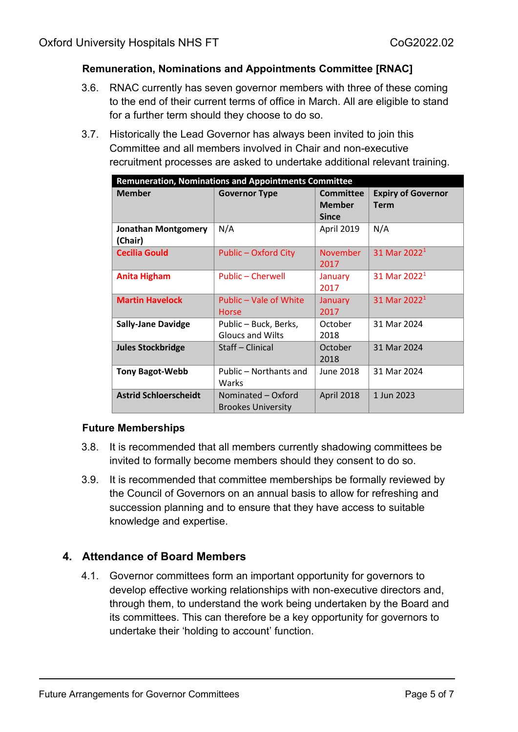## **Remuneration, Nominations and Appointments Committee [RNAC]**

- 3.6. RNAC currently has seven governor members with three of these coming to the end of their current terms of office in March. All are eligible to stand for a further term should they choose to do so.
- 3.7. Historically the Lead Governor has always been invited to join this Committee and all members involved in Chair and non-executive recruitment processes are asked to undertake additional relevant training.

| <b>Remuneration, Nominations and Appointments Committee</b> |                                                  |                                            |                                          |  |  |  |
|-------------------------------------------------------------|--------------------------------------------------|--------------------------------------------|------------------------------------------|--|--|--|
| <b>Member</b>                                               | <b>Governor Type</b>                             | Committee<br><b>Member</b><br><b>Since</b> | <b>Expiry of Governor</b><br><b>Term</b> |  |  |  |
| <b>Jonathan Montgomery</b><br>(Chair)                       | N/A                                              | April 2019                                 | N/A                                      |  |  |  |
| <b>Cecilia Gould</b>                                        | Public - Oxford City                             | <b>November</b><br>2017                    | 31 Mar 2022 <sup>1</sup>                 |  |  |  |
| <b>Anita Higham</b>                                         | Public - Cherwell                                | January<br>2017                            | 31 Mar 2022 <sup>1</sup>                 |  |  |  |
| <b>Martin Havelock</b>                                      | Public - Vale of White<br><b>Horse</b>           | January<br>2017                            | 31 Mar 2022 <sup>1</sup>                 |  |  |  |
| <b>Sally-Jane Davidge</b>                                   | Public - Buck, Berks,<br><b>Gloucs and Wilts</b> | October<br>2018                            | 31 Mar 2024                              |  |  |  |
| <b>Jules Stockbridge</b>                                    | Staff - Clinical                                 | October<br>2018                            | 31 Mar 2024                              |  |  |  |
| <b>Tony Bagot-Webb</b>                                      | Public – Northants and<br>Warks                  | June 2018                                  | 31 Mar 2024                              |  |  |  |
| <b>Astrid Schloerscheidt</b>                                | Nominated - Oxford<br><b>Brookes University</b>  | April 2018                                 | 1 Jun 2023                               |  |  |  |

## **Future Memberships**

- 3.8. It is recommended that all members currently shadowing committees be invited to formally become members should they consent to do so.
- 3.9. It is recommended that committee memberships be formally reviewed by the Council of Governors on an annual basis to allow for refreshing and succession planning and to ensure that they have access to suitable knowledge and expertise.

# **4. Attendance of Board Members**

4.1. Governor committees form an important opportunity for governors to develop effective working relationships with non-executive directors and, through them, to understand the work being undertaken by the Board and its committees. This can therefore be a key opportunity for governors to undertake their 'holding to account' function.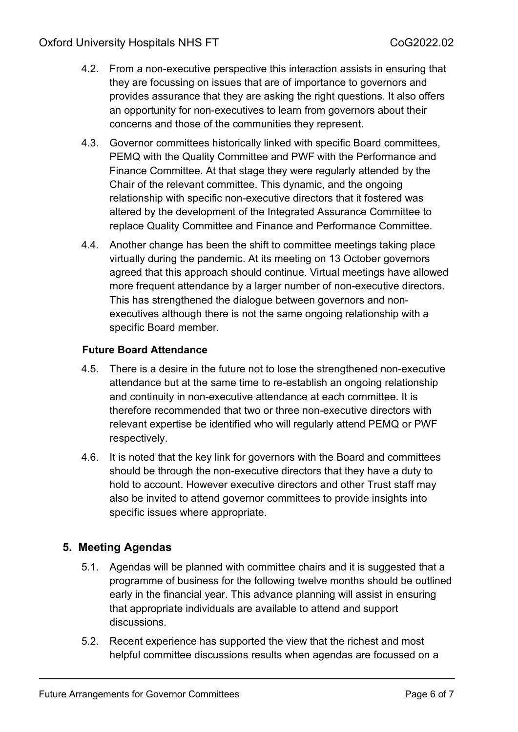- 4.2. From a non-executive perspective this interaction assists in ensuring that they are focussing on issues that are of importance to governors and provides assurance that they are asking the right questions. It also offers an opportunity for non-executives to learn from governors about their concerns and those of the communities they represent.
- 4.3. Governor committees historically linked with specific Board committees, PEMQ with the Quality Committee and PWF with the Performance and Finance Committee. At that stage they were regularly attended by the Chair of the relevant committee. This dynamic, and the ongoing relationship with specific non-executive directors that it fostered was altered by the development of the Integrated Assurance Committee to replace Quality Committee and Finance and Performance Committee.
- 4.4. Another change has been the shift to committee meetings taking place virtually during the pandemic. At its meeting on 13 October governors agreed that this approach should continue. Virtual meetings have allowed more frequent attendance by a larger number of non-executive directors. This has strengthened the dialogue between governors and nonexecutives although there is not the same ongoing relationship with a specific Board member.

## **Future Board Attendance**

- 4.5. There is a desire in the future not to lose the strengthened non-executive attendance but at the same time to re-establish an ongoing relationship and continuity in non-executive attendance at each committee. It is therefore recommended that two or three non-executive directors with relevant expertise be identified who will regularly attend PEMQ or PWF respectively.
- 4.6. It is noted that the key link for governors with the Board and committees should be through the non-executive directors that they have a duty to hold to account. However executive directors and other Trust staff may also be invited to attend governor committees to provide insights into specific issues where appropriate.

# **5. Meeting Agendas**

- 5.1. Agendas will be planned with committee chairs and it is suggested that a programme of business for the following twelve months should be outlined early in the financial year. This advance planning will assist in ensuring that appropriate individuals are available to attend and support discussions.
- 5.2. Recent experience has supported the view that the richest and most helpful committee discussions results when agendas are focussed on a